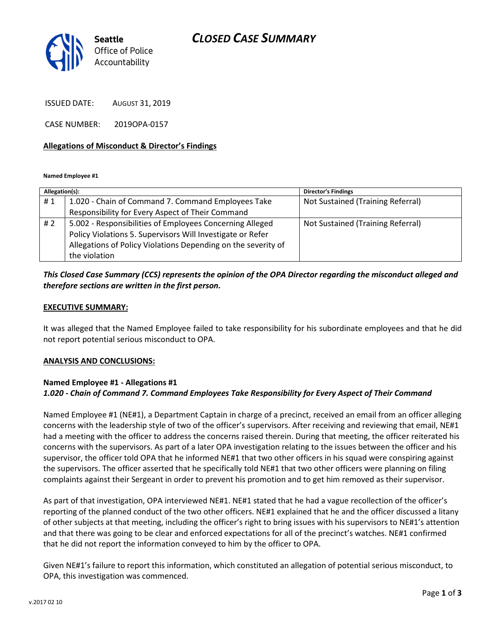## CLOSED CASE SUMMARY



ISSUED DATE: AUGUST 31, 2019

CASE NUMBER: 2019OPA-0157

#### Allegations of Misconduct & Director's Findings

Named Employee #1

| Allegation(s): |                                                               | <b>Director's Findings</b>        |
|----------------|---------------------------------------------------------------|-----------------------------------|
| #1             | 1.020 - Chain of Command 7. Command Employees Take            | Not Sustained (Training Referral) |
|                | Responsibility for Every Aspect of Their Command              |                                   |
| #2             | 5.002 - Responsibilities of Employees Concerning Alleged      | Not Sustained (Training Referral) |
|                | Policy Violations 5. Supervisors Will Investigate or Refer    |                                   |
|                | Allegations of Policy Violations Depending on the severity of |                                   |
|                | the violation                                                 |                                   |

## This Closed Case Summary (CCS) represents the opinion of the OPA Director regarding the misconduct alleged and therefore sections are written in the first person.

#### EXECUTIVE SUMMARY:

It was alleged that the Named Employee failed to take responsibility for his subordinate employees and that he did not report potential serious misconduct to OPA.

### ANALYSIS AND CONCLUSIONS:

### Named Employee #1 - Allegations #1 1.020 - Chain of Command 7. Command Employees Take Responsibility for Every Aspect of Their Command

Named Employee #1 (NE#1), a Department Captain in charge of a precinct, received an email from an officer alleging concerns with the leadership style of two of the officer's supervisors. After receiving and reviewing that email, NE#1 had a meeting with the officer to address the concerns raised therein. During that meeting, the officer reiterated his concerns with the supervisors. As part of a later OPA investigation relating to the issues between the officer and his supervisor, the officer told OPA that he informed NE#1 that two other officers in his squad were conspiring against the supervisors. The officer asserted that he specifically told NE#1 that two other officers were planning on filing complaints against their Sergeant in order to prevent his promotion and to get him removed as their supervisor.

As part of that investigation, OPA interviewed NE#1. NE#1 stated that he had a vague recollection of the officer's reporting of the planned conduct of the two other officers. NE#1 explained that he and the officer discussed a litany of other subjects at that meeting, including the officer's right to bring issues with his supervisors to NE#1's attention and that there was going to be clear and enforced expectations for all of the precinct's watches. NE#1 confirmed that he did not report the information conveyed to him by the officer to OPA.

Given NE#1's failure to report this information, which constituted an allegation of potential serious misconduct, to OPA, this investigation was commenced.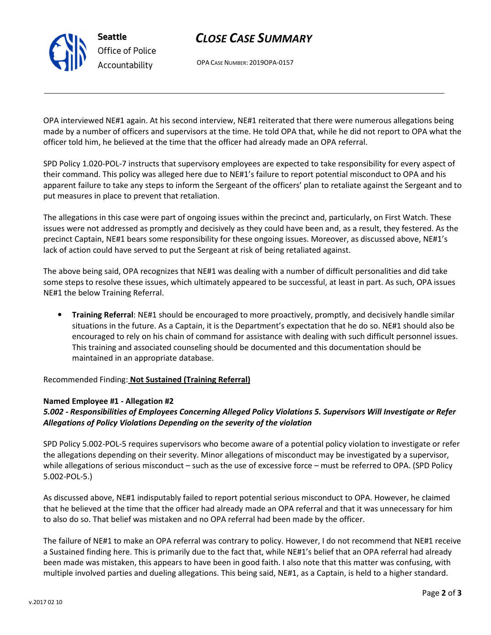# CLOSE CASE SUMMARY

OPA CASE NUMBER: 2019OPA-0157

OPA interviewed NE#1 again. At his second interview, NE#1 reiterated that there were numerous allegations being made by a number of officers and supervisors at the time. He told OPA that, while he did not report to OPA what the officer told him, he believed at the time that the officer had already made an OPA referral.

SPD Policy 1.020-POL-7 instructs that supervisory employees are expected to take responsibility for every aspect of their command. This policy was alleged here due to NE#1's failure to report potential misconduct to OPA and his apparent failure to take any steps to inform the Sergeant of the officers' plan to retaliate against the Sergeant and to put measures in place to prevent that retaliation.

The allegations in this case were part of ongoing issues within the precinct and, particularly, on First Watch. These issues were not addressed as promptly and decisively as they could have been and, as a result, they festered. As the precinct Captain, NE#1 bears some responsibility for these ongoing issues. Moreover, as discussed above, NE#1's lack of action could have served to put the Sergeant at risk of being retaliated against.

The above being said, OPA recognizes that NE#1 was dealing with a number of difficult personalities and did take some steps to resolve these issues, which ultimately appeared to be successful, at least in part. As such, OPA issues NE#1 the below Training Referral.

• Training Referral: NE#1 should be encouraged to more proactively, promptly, and decisively handle similar situations in the future. As a Captain, it is the Department's expectation that he do so. NE#1 should also be encouraged to rely on his chain of command for assistance with dealing with such difficult personnel issues. This training and associated counseling should be documented and this documentation should be maintained in an appropriate database.

Recommended Finding: Not Sustained (Training Referral)

## Named Employee #1 - Allegation #2

Seattle

Office of Police Accountability

## 5.002 - Responsibilities of Employees Concerning Alleged Policy Violations 5. Supervisors Will Investigate or Refer Allegations of Policy Violations Depending on the severity of the violation

SPD Policy 5.002-POL-5 requires supervisors who become aware of a potential policy violation to investigate or refer the allegations depending on their severity. Minor allegations of misconduct may be investigated by a supervisor, while allegations of serious misconduct – such as the use of excessive force – must be referred to OPA. (SPD Policy 5.002-POL-5.)

As discussed above, NE#1 indisputably failed to report potential serious misconduct to OPA. However, he claimed that he believed at the time that the officer had already made an OPA referral and that it was unnecessary for him to also do so. That belief was mistaken and no OPA referral had been made by the officer.

The failure of NE#1 to make an OPA referral was contrary to policy. However, I do not recommend that NE#1 receive a Sustained finding here. This is primarily due to the fact that, while NE#1's belief that an OPA referral had already been made was mistaken, this appears to have been in good faith. I also note that this matter was confusing, with multiple involved parties and dueling allegations. This being said, NE#1, as a Captain, is held to a higher standard.